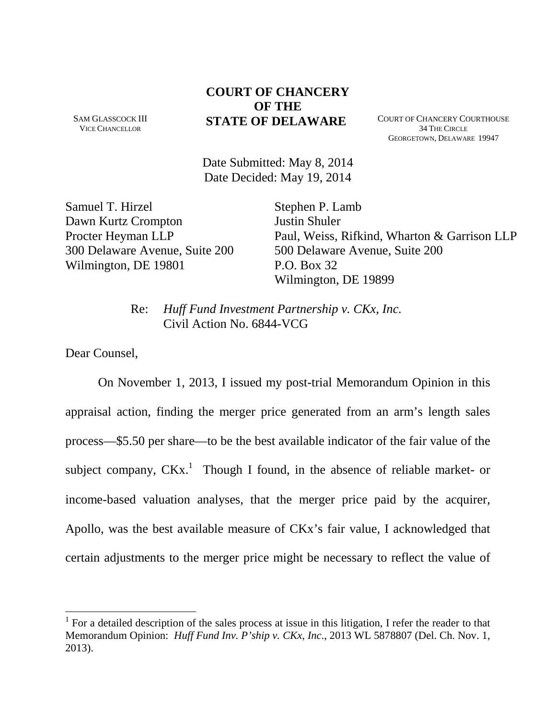# **COURT OF CHANCERY OF THE STATE OF DELAWARE** COURT OF CHANCERY COURTHOUSE

SAM GLASSCOCK III VICE CHANCELLOR

34 THE CIRCLE GEORGETOWN, DELAWARE 19947

Date Submitted: May 8, 2014 Date Decided: May 19, 2014

Samuel T. Hirzel Dawn Kurtz Crompton Procter Heyman LLP 300 Delaware Avenue, Suite 200 Wilmington, DE 19801

Stephen P. Lamb Justin Shuler Paul, Weiss, Rifkind, Wharton & Garrison LLP 500 Delaware Avenue, Suite 200 P.O. Box 32 Wilmington, DE 19899

Re: *Huff Fund Investment Partnership v. CKx, Inc.* Civil Action No. 6844-VCG

Dear Counsel,

<u>.</u>

 On November 1, 2013, I issued my post-trial Memorandum Opinion in this appraisal action, finding the merger price generated from an arm's length sales process—\$5.50 per share—to be the best available indicator of the fair value of the subject company,  $CKx$ .<sup>1</sup> Though I found, in the absence of reliable market- or income-based valuation analyses, that the merger price paid by the acquirer, Apollo, was the best available measure of CKx's fair value, I acknowledged that certain adjustments to the merger price might be necessary to reflect the value of

<sup>&</sup>lt;sup>1</sup> For a detailed description of the sales process at issue in this litigation, I refer the reader to that Memorandum Opinion: *Huff Fund Inv. P'ship v. CKx, Inc*., 2013 WL 5878807 (Del. Ch. Nov. 1, 2013).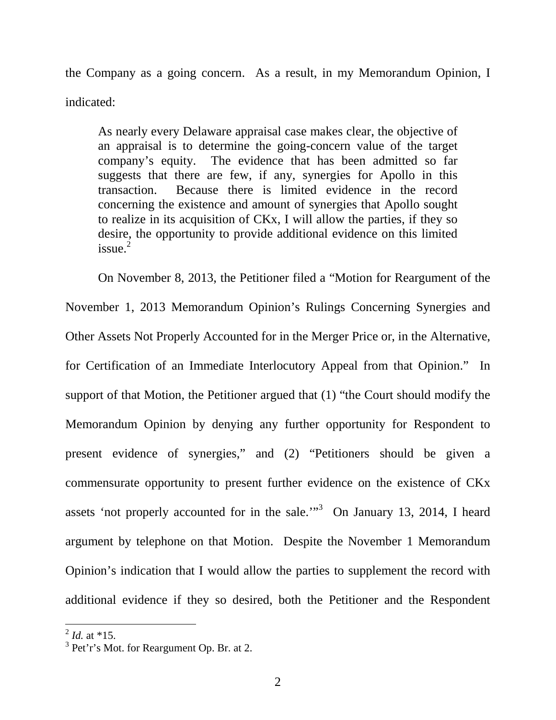the Company as a going concern. As a result, in my Memorandum Opinion, I indicated:

As nearly every Delaware appraisal case makes clear, the objective of an appraisal is to determine the going-concern value of the target company's equity. The evidence that has been admitted so far suggests that there are few, if any, synergies for Apollo in this transaction. Because there is limited evidence in the record concerning the existence and amount of synergies that Apollo sought to realize in its acquisition of CKx, I will allow the parties, if they so desire, the opportunity to provide additional evidence on this limited  $is sue.<sup>2</sup>$ 

 On November 8, 2013, the Petitioner filed a "Motion for Reargument of the November 1, 2013 Memorandum Opinion's Rulings Concerning Synergies and Other Assets Not Properly Accounted for in the Merger Price or, in the Alternative, for Certification of an Immediate Interlocutory Appeal from that Opinion." In support of that Motion, the Petitioner argued that (1) "the Court should modify the Memorandum Opinion by denying any further opportunity for Respondent to present evidence of synergies," and (2) "Petitioners should be given a commensurate opportunity to present further evidence on the existence of CKx assets 'not properly accounted for in the sale."<sup>3</sup> On January 13, 2014, I heard argument by telephone on that Motion. Despite the November 1 Memorandum Opinion's indication that I would allow the parties to supplement the record with additional evidence if they so desired, both the Petitioner and the Respondent

 $^{2}$  *Id.* at \*15.

 $3$  Pet'r's Mot. for Reargument Op. Br. at 2.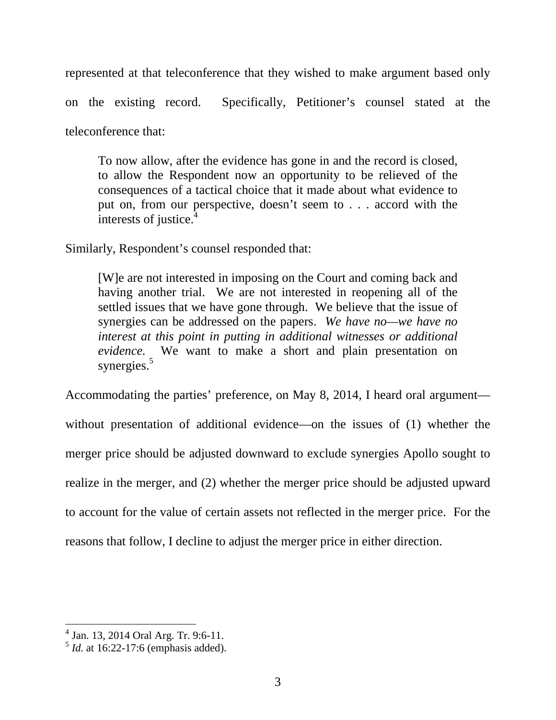represented at that teleconference that they wished to make argument based only on the existing record. Specifically, Petitioner's counsel stated at the teleconference that:

To now allow, after the evidence has gone in and the record is closed, to allow the Respondent now an opportunity to be relieved of the consequences of a tactical choice that it made about what evidence to put on, from our perspective, doesn't seem to . . . accord with the interests of justice.<sup>4</sup>

Similarly, Respondent's counsel responded that:

[W]e are not interested in imposing on the Court and coming back and having another trial. We are not interested in reopening all of the settled issues that we have gone through. We believe that the issue of synergies can be addressed on the papers. *We have no—we have no interest at this point in putting in additional witnesses or additional evidence.* We want to make a short and plain presentation on synergies.<sup>5</sup>

Accommodating the parties' preference, on May 8, 2014, I heard oral argument without presentation of additional evidence—on the issues of (1) whether the merger price should be adjusted downward to exclude synergies Apollo sought to realize in the merger, and (2) whether the merger price should be adjusted upward to account for the value of certain assets not reflected in the merger price. For the reasons that follow, I decline to adjust the merger price in either direction.

 4 Jan. 13, 2014 Oral Arg. Tr. 9:6-11.

<sup>&</sup>lt;sup>5</sup> *Id.* at 16:22-17:6 (emphasis added).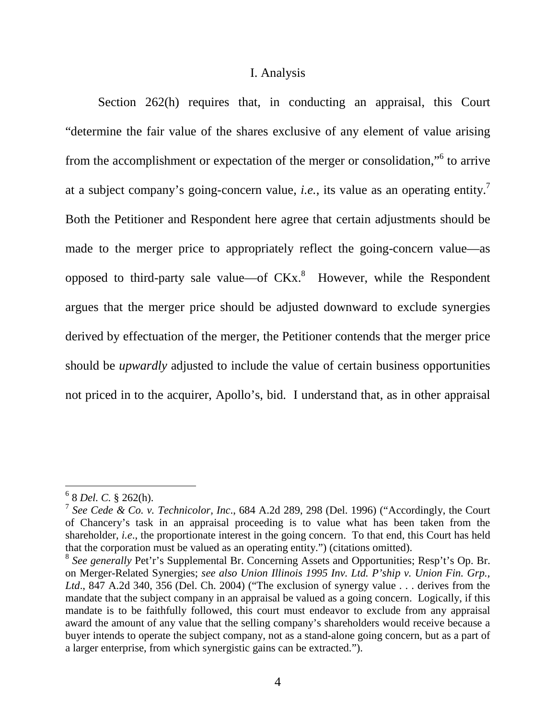#### I. Analysis

Section 262(h) requires that, in conducting an appraisal, this Court "determine the fair value of the shares exclusive of any element of value arising from the accomplishment or expectation of the merger or consolidation,"<sup>6</sup> to arrive at a subject company's going-concern value, *i.e.*, its value as an operating entity.<sup>7</sup> Both the Petitioner and Respondent here agree that certain adjustments should be made to the merger price to appropriately reflect the going-concern value—as opposed to third-party sale value—of  $CKx$ .<sup>8</sup> However, while the Respondent argues that the merger price should be adjusted downward to exclude synergies derived by effectuation of the merger, the Petitioner contends that the merger price should be *upwardly* adjusted to include the value of certain business opportunities not priced in to the acquirer, Apollo's, bid. I understand that, as in other appraisal

 6 8 *Del. C.* § 262(h).

<sup>7</sup> *See Cede & Co. v. Technicolor, Inc*., 684 A.2d 289, 298 (Del. 1996) ("Accordingly, the Court of Chancery's task in an appraisal proceeding is to value what has been taken from the shareholder, *i.e*., the proportionate interest in the going concern. To that end, this Court has held that the corporation must be valued as an operating entity.") (citations omitted).

<sup>&</sup>lt;sup>8</sup> See generally Pet'r's Supplemental Br. Concerning Assets and Opportunities; Resp't's Op. Br. on Merger-Related Synergies; *see also Union Illinois 1995 Inv. Ltd. P'ship v. Union Fin. Grp., Ltd*., 847 A.2d 340, 356 (Del. Ch. 2004) ("The exclusion of synergy value . . . derives from the mandate that the subject company in an appraisal be valued as a going concern. Logically, if this mandate is to be faithfully followed, this court must endeavor to exclude from any appraisal award the amount of any value that the selling company's shareholders would receive because a buyer intends to operate the subject company, not as a stand-alone going concern, but as a part of a larger enterprise, from which synergistic gains can be extracted.").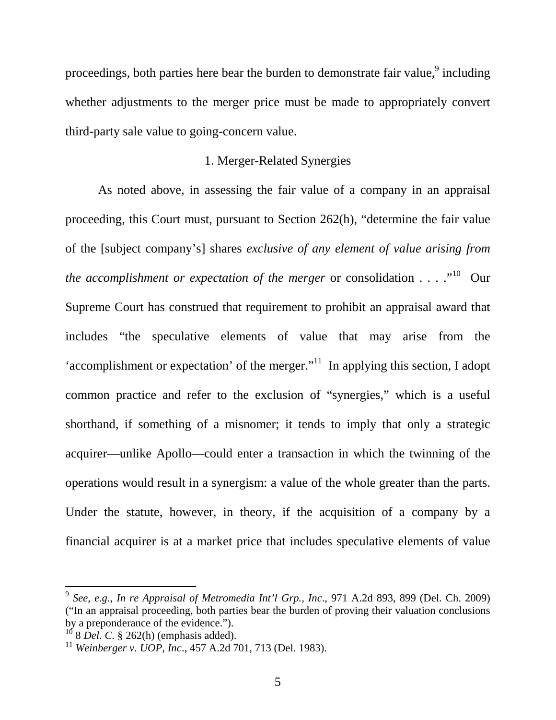proceedings, both parties here bear the burden to demonstrate fair value,<sup>9</sup> including whether adjustments to the merger price must be made to appropriately convert third-party sale value to going-concern value.

### 1. Merger-Related Synergies

 As noted above, in assessing the fair value of a company in an appraisal proceeding, this Court must, pursuant to Section 262(h), "determine the fair value of the [subject company's] shares *exclusive of any element of value arising from the accomplishment or expectation of the merger* or consolidation . . . .<sup>"10</sup> Our Supreme Court has construed that requirement to prohibit an appraisal award that includes "the speculative elements of value that may arise from the 'accomplishment or expectation' of the merger."<sup>11</sup> In applying this section, I adopt common practice and refer to the exclusion of "synergies," which is a useful shorthand, if something of a misnomer; it tends to imply that only a strategic acquirer—unlike Apollo—could enter a transaction in which the twinning of the operations would result in a synergism: a value of the whole greater than the parts. Under the statute, however, in theory, if the acquisition of a company by a financial acquirer is at a market price that includes speculative elements of value

 9 *See, e.g.*, *In re Appraisal of Metromedia Int'l Grp., Inc*., 971 A.2d 893, 899 (Del. Ch. 2009) ("In an appraisal proceeding, both parties bear the burden of proving their valuation conclusions by a preponderance of the evidence.").

 $^{10}$  8 *Del. C.* § 262(h) (emphasis added).

<sup>11</sup> *Weinberger v. UOP, Inc*., 457 A.2d 701, 713 (Del. 1983).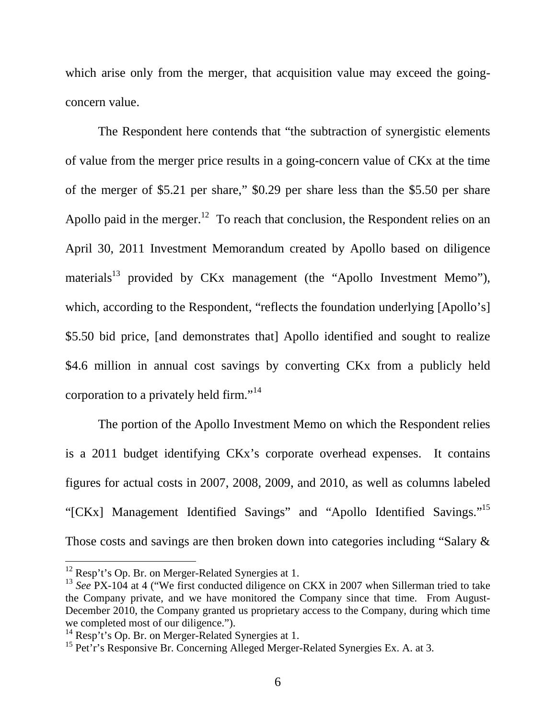which arise only from the merger, that acquisition value may exceed the goingconcern value.

 The Respondent here contends that "the subtraction of synergistic elements of value from the merger price results in a going-concern value of CKx at the time of the merger of \$5.21 per share," \$0.29 per share less than the \$5.50 per share Apollo paid in the merger.<sup>12</sup> To reach that conclusion, the Respondent relies on an April 30, 2011 Investment Memorandum created by Apollo based on diligence materials<sup>13</sup> provided by CKx management (the "Apollo Investment Memo"), which, according to the Respondent, "reflects the foundation underlying [Apollo's] \$5.50 bid price, [and demonstrates that] Apollo identified and sought to realize \$4.6 million in annual cost savings by converting CK<sub>x</sub> from a publicly held corporation to a privately held firm."<sup>14</sup>

The portion of the Apollo Investment Memo on which the Respondent relies is a 2011 budget identifying CKx's corporate overhead expenses. It contains figures for actual costs in 2007, 2008, 2009, and 2010, as well as columns labeled "[CKx] Management Identified Savings" and "Apollo Identified Savings."<sup>15</sup> Those costs and savings are then broken down into categories including "Salary &

 $12$  Resp't's Op. Br. on Merger-Related Synergies at 1.

<sup>&</sup>lt;sup>13</sup> See PX-104 at 4 ("We first conducted diligence on CKX in 2007 when Sillerman tried to take the Company private, and we have monitored the Company since that time. From August-December 2010, the Company granted us proprietary access to the Company, during which time we completed most of our diligence.").

<sup>&</sup>lt;sup>14</sup> Resp't's Op. Br. on Merger-Related Synergies at 1.

<sup>&</sup>lt;sup>15</sup> Pet'r's Responsive Br. Concerning Alleged Merger-Related Synergies Ex. A. at 3.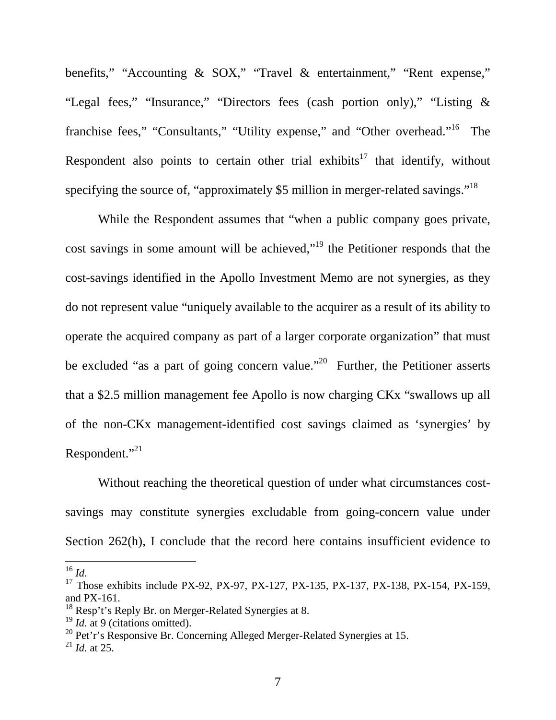benefits," "Accounting & SOX," "Travel & entertainment," "Rent expense," "Legal fees," "Insurance," "Directors fees (cash portion only)," "Listing & franchise fees," "Consultants," "Utility expense," and "Other overhead."<sup>16</sup> The Respondent also points to certain other trial exhibits<sup>17</sup> that identify, without specifying the source of, "approximately \$5 million in merger-related savings."<sup>18</sup>

 While the Respondent assumes that "when a public company goes private, cost savings in some amount will be achieved,"<sup>19</sup> the Petitioner responds that the cost-savings identified in the Apollo Investment Memo are not synergies, as they do not represent value "uniquely available to the acquirer as a result of its ability to operate the acquired company as part of a larger corporate organization" that must be excluded "as a part of going concern value."<sup>20</sup> Further, the Petitioner asserts that a \$2.5 million management fee Apollo is now charging CKx "swallows up all of the non-CKx management-identified cost savings claimed as 'synergies' by Respondent."<sup>21</sup>

Without reaching the theoretical question of under what circumstances costsavings may constitute synergies excludable from going-concern value under Section 262(h), I conclude that the record here contains insufficient evidence to

<sup>&</sup>lt;u>.</u>  $^{16}$  *Id.* 

<sup>&</sup>lt;sup>17</sup> Those exhibits include PX-92, PX-97, PX-127, PX-135, PX-137, PX-138, PX-154, PX-159, and PX-161.

 $18$  Resp't's Reply Br. on Merger-Related Synergies at 8.

<sup>&</sup>lt;sup>19</sup> *Id.* at 9 (citations omitted).

<sup>&</sup>lt;sup>20</sup> Pet'r's Responsive Br. Concerning Alleged Merger-Related Synergies at 15.

 $^{21}$  *Id.* at 25.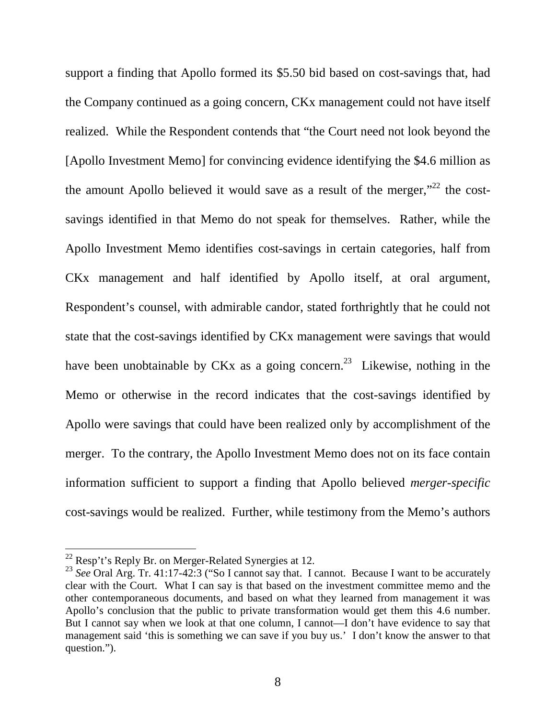support a finding that Apollo formed its \$5.50 bid based on cost-savings that, had the Company continued as a going concern, CKx management could not have itself realized. While the Respondent contends that "the Court need not look beyond the [Apollo Investment Memo] for convincing evidence identifying the \$4.6 million as the amount Apollo believed it would save as a result of the merger," $^{22}$  the costsavings identified in that Memo do not speak for themselves. Rather, while the Apollo Investment Memo identifies cost-savings in certain categories, half from CKx management and half identified by Apollo itself, at oral argument, Respondent's counsel, with admirable candor, stated forthrightly that he could not state that the cost-savings identified by CKx management were savings that would have been unobtainable by CKx as a going concern.<sup>23</sup> Likewise, nothing in the Memo or otherwise in the record indicates that the cost-savings identified by Apollo were savings that could have been realized only by accomplishment of the merger. To the contrary, the Apollo Investment Memo does not on its face contain information sufficient to support a finding that Apollo believed *merger-specific* cost-savings would be realized. Further, while testimony from the Memo's authors

 $22$  Resp't's Reply Br. on Merger-Related Synergies at 12.

<sup>&</sup>lt;sup>23</sup> See Oral Arg. Tr. 41:17-42:3 ("So I cannot say that. I cannot. Because I want to be accurately clear with the Court. What I can say is that based on the investment committee memo and the other contemporaneous documents, and based on what they learned from management it was Apollo's conclusion that the public to private transformation would get them this 4.6 number. But I cannot say when we look at that one column, I cannot—I don't have evidence to say that management said 'this is something we can save if you buy us.' I don't know the answer to that question.").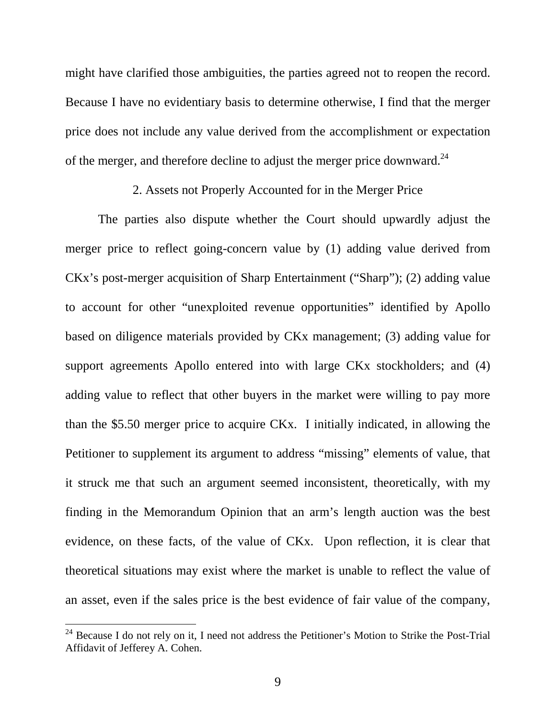might have clarified those ambiguities, the parties agreed not to reopen the record. Because I have no evidentiary basis to determine otherwise, I find that the merger price does not include any value derived from the accomplishment or expectation of the merger, and therefore decline to adjust the merger price downward.<sup>24</sup>

#### 2. Assets not Properly Accounted for in the Merger Price

 The parties also dispute whether the Court should upwardly adjust the merger price to reflect going-concern value by (1) adding value derived from CKx's post-merger acquisition of Sharp Entertainment ("Sharp"); (2) adding value to account for other "unexploited revenue opportunities" identified by Apollo based on diligence materials provided by CKx management; (3) adding value for support agreements Apollo entered into with large CK<sub>x</sub> stockholders; and (4) adding value to reflect that other buyers in the market were willing to pay more than the \$5.50 merger price to acquire CKx. I initially indicated, in allowing the Petitioner to supplement its argument to address "missing" elements of value, that it struck me that such an argument seemed inconsistent, theoretically, with my finding in the Memorandum Opinion that an arm's length auction was the best evidence, on these facts, of the value of CKx. Upon reflection, it is clear that theoretical situations may exist where the market is unable to reflect the value of an asset, even if the sales price is the best evidence of fair value of the company,

 $24$  Because I do not rely on it, I need not address the Petitioner's Motion to Strike the Post-Trial Affidavit of Jefferey A. Cohen.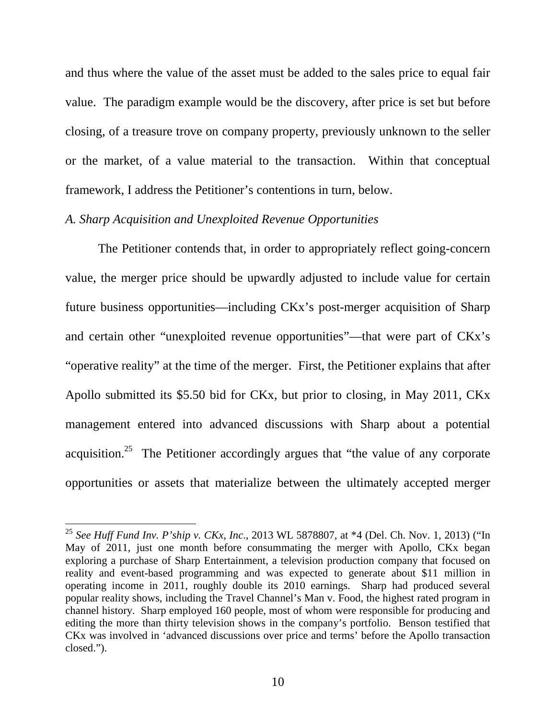and thus where the value of the asset must be added to the sales price to equal fair value. The paradigm example would be the discovery, after price is set but before closing, of a treasure trove on company property, previously unknown to the seller or the market, of a value material to the transaction. Within that conceptual framework, I address the Petitioner's contentions in turn, below.

#### *A. Sharp Acquisition and Unexploited Revenue Opportunities*

-

 The Petitioner contends that, in order to appropriately reflect going-concern value, the merger price should be upwardly adjusted to include value for certain future business opportunities—including CKx's post-merger acquisition of Sharp and certain other "unexploited revenue opportunities"—that were part of CKx's "operative reality" at the time of the merger. First, the Petitioner explains that after Apollo submitted its \$5.50 bid for CKx, but prior to closing, in May 2011, CKx management entered into advanced discussions with Sharp about a potential acquisition.<sup>25</sup> The Petitioner accordingly argues that "the value of any corporate opportunities or assets that materialize between the ultimately accepted merger

<sup>25</sup> *See Huff Fund Inv. P'ship v. CKx, Inc*., 2013 WL 5878807, at \*4 (Del. Ch. Nov. 1, 2013) ("In May of 2011, just one month before consummating the merger with Apollo, CKx began exploring a purchase of Sharp Entertainment, a television production company that focused on reality and event-based programming and was expected to generate about \$11 million in operating income in 2011, roughly double its 2010 earnings. Sharp had produced several popular reality shows, including the Travel Channel's Man v. Food, the highest rated program in channel history. Sharp employed 160 people, most of whom were responsible for producing and editing the more than thirty television shows in the company's portfolio. Benson testified that CKx was involved in 'advanced discussions over price and terms' before the Apollo transaction closed.").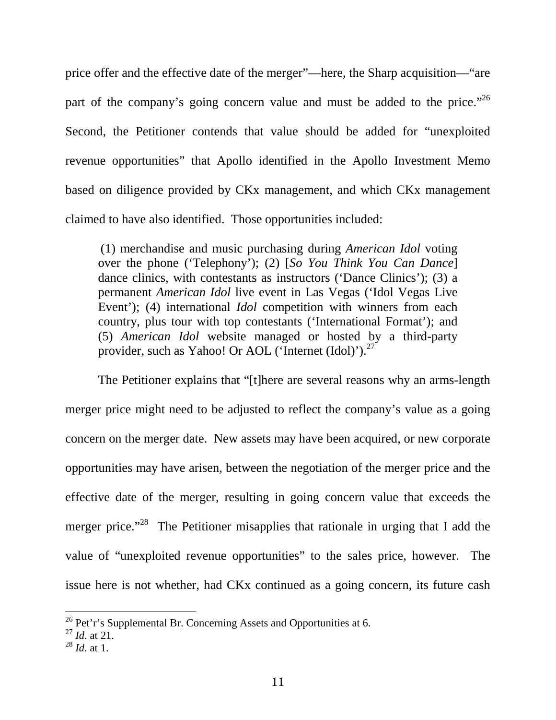price offer and the effective date of the merger"—here, the Sharp acquisition—"are part of the company's going concern value and must be added to the price."<sup>26</sup> Second, the Petitioner contends that value should be added for "unexploited revenue opportunities" that Apollo identified in the Apollo Investment Memo based on diligence provided by CKx management, and which CKx management claimed to have also identified. Those opportunities included:

(1) merchandise and music purchasing during *American Idol* voting over the phone ('Telephony'); (2) [*So You Think You Can Dance*] dance clinics, with contestants as instructors ('Dance Clinics'); (3) a permanent *American Idol* live event in Las Vegas ('Idol Vegas Live Event'); (4) international *Idol* competition with winners from each country, plus tour with top contestants ('International Format'); and (5) *American Idol* website managed or hosted by a third-party provider, such as Yahoo! Or AOL ('Internet (Idol)').<sup>27</sup>

The Petitioner explains that "[t]here are several reasons why an arms-length merger price might need to be adjusted to reflect the company's value as a going concern on the merger date. New assets may have been acquired, or new corporate opportunities may have arisen, between the negotiation of the merger price and the effective date of the merger, resulting in going concern value that exceeds the merger price."<sup>28</sup> The Petitioner misapplies that rationale in urging that I add the value of "unexploited revenue opportunities" to the sales price, however. The issue here is not whether, had CKx continued as a going concern, its future cash

 $^{26}$  Pet'r's Supplemental Br. Concerning Assets and Opportunities at 6.

<sup>27</sup> *Id.* at 21.

 $^{28}$  *Id.* at 1.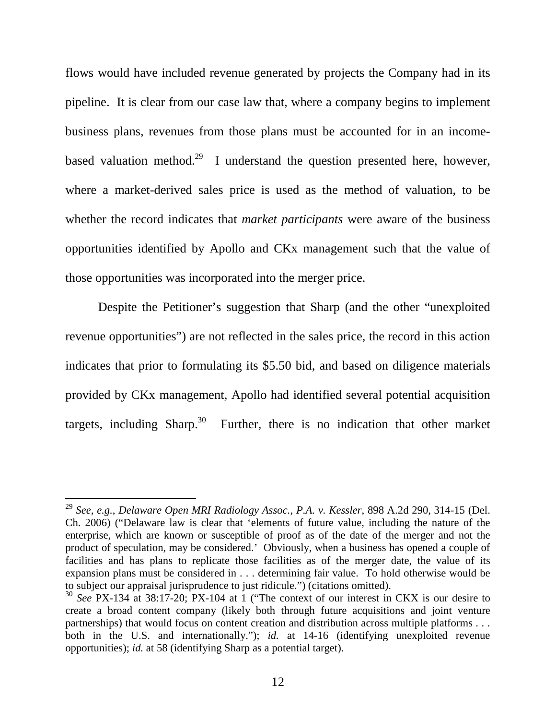flows would have included revenue generated by projects the Company had in its pipeline. It is clear from our case law that, where a company begins to implement business plans, revenues from those plans must be accounted for in an incomebased valuation method.<sup>29</sup> I understand the question presented here, however, where a market-derived sales price is used as the method of valuation, to be whether the record indicates that *market participants* were aware of the business opportunities identified by Apollo and CKx management such that the value of those opportunities was incorporated into the merger price.

 Despite the Petitioner's suggestion that Sharp (and the other "unexploited revenue opportunities") are not reflected in the sales price, the record in this action indicates that prior to formulating its \$5.50 bid, and based on diligence materials provided by CKx management, Apollo had identified several potential acquisition targets, including  $Sharp.<sup>30</sup>$  Further, there is no indication that other market

<sup>29</sup> *See, e.g.*, *Delaware Open MRI Radiology Assoc., P.A. v. Kessler*, 898 A.2d 290, 314-15 (Del. Ch. 2006) ("Delaware law is clear that 'elements of future value, including the nature of the enterprise, which are known or susceptible of proof as of the date of the merger and not the product of speculation, may be considered.' Obviously, when a business has opened a couple of facilities and has plans to replicate those facilities as of the merger date, the value of its expansion plans must be considered in . . . determining fair value. To hold otherwise would be to subject our appraisal jurisprudence to just ridicule.") (citations omitted).

<sup>30</sup> *See* PX-134 at 38:17-20; PX-104 at 1 ("The context of our interest in CKX is our desire to create a broad content company (likely both through future acquisitions and joint venture partnerships) that would focus on content creation and distribution across multiple platforms . . . both in the U.S. and internationally."); *id.* at 14-16 (identifying unexploited revenue opportunities); *id.* at 58 (identifying Sharp as a potential target).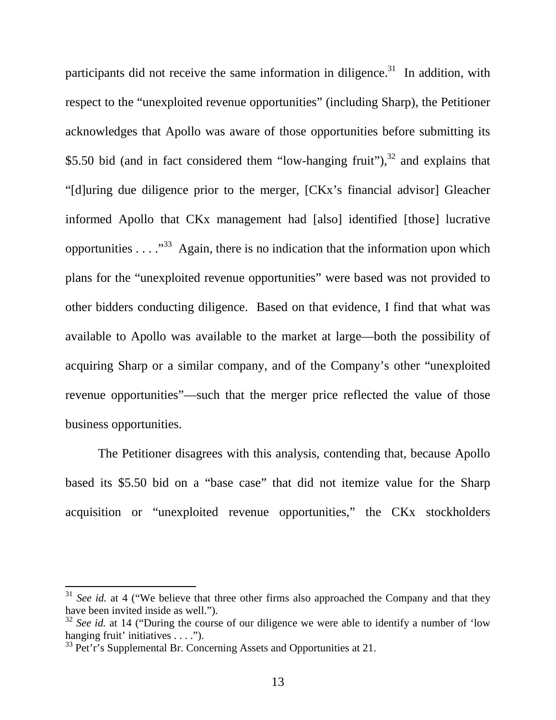participants did not receive the same information in diligence.<sup>31</sup> In addition, with respect to the "unexploited revenue opportunities" (including Sharp), the Petitioner acknowledges that Apollo was aware of those opportunities before submitting its \$5.50 bid (and in fact considered them "low-hanging fruit"), $32$  and explains that "[d]uring due diligence prior to the merger, [CKx's financial advisor] Gleacher informed Apollo that CKx management had [also] identified [those] lucrative opportunities  $\ldots$ ."<sup>33</sup> Again, there is no indication that the information upon which plans for the "unexploited revenue opportunities" were based was not provided to other bidders conducting diligence. Based on that evidence, I find that what was available to Apollo was available to the market at large—both the possibility of acquiring Sharp or a similar company, and of the Company's other "unexploited revenue opportunities"—such that the merger price reflected the value of those business opportunities.

 The Petitioner disagrees with this analysis, contending that, because Apollo based its \$5.50 bid on a "base case" that did not itemize value for the Sharp acquisition or "unexploited revenue opportunities," the CKx stockholders

-

<sup>&</sup>lt;sup>31</sup> *See id.* at 4 ("We believe that three other firms also approached the Company and that they have been invited inside as well.").

<sup>&</sup>lt;sup>32</sup> See id. at 14 ("During the course of our diligence we were able to identify a number of 'low hanging fruit' initiatives . . . .").

 $33$  Pet'r's Supplemental Br. Concerning Assets and Opportunities at 21.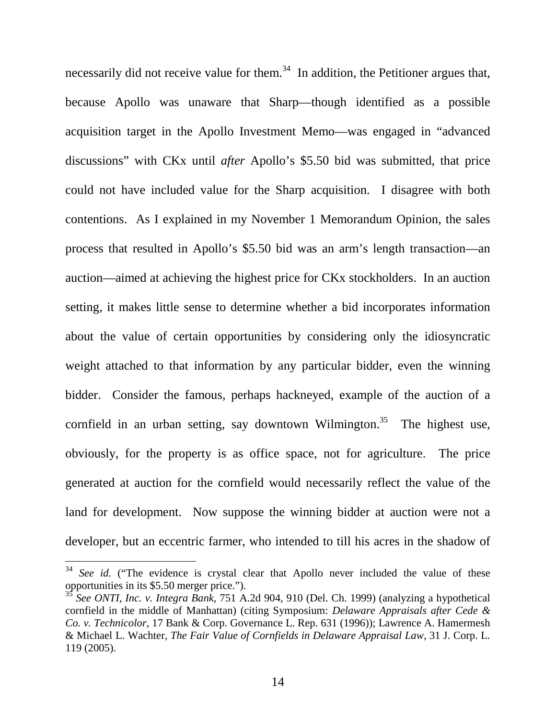necessarily did not receive value for them. $34$  In addition, the Petitioner argues that, because Apollo was unaware that Sharp—though identified as a possible acquisition target in the Apollo Investment Memo—was engaged in "advanced discussions" with CKx until *after* Apollo's \$5.50 bid was submitted, that price could not have included value for the Sharp acquisition. I disagree with both contentions. As I explained in my November 1 Memorandum Opinion, the sales process that resulted in Apollo's \$5.50 bid was an arm's length transaction—an auction—aimed at achieving the highest price for CKx stockholders. In an auction setting, it makes little sense to determine whether a bid incorporates information about the value of certain opportunities by considering only the idiosyncratic weight attached to that information by any particular bidder, even the winning bidder. Consider the famous, perhaps hackneyed, example of the auction of a cornfield in an urban setting, say downtown Wilmington.<sup>35</sup> The highest use, obviously, for the property is as office space, not for agriculture. The price generated at auction for the cornfield would necessarily reflect the value of the land for development. Now suppose the winning bidder at auction were not a developer, but an eccentric farmer, who intended to till his acres in the shadow of

<sup>&</sup>lt;sup>34</sup> *See id.* ("The evidence is crystal clear that Apollo never included the value of these opportunities in its \$5.50 merger price.").

<sup>35</sup> *See ONTI, Inc. v. Integra Bank*, 751 A.2d 904, 910 (Del. Ch. 1999) (analyzing a hypothetical cornfield in the middle of Manhattan) (citing Symposium: *Delaware Appraisals after Cede & Co. v. Technicolor*, 17 Bank & Corp. Governance L. Rep. 631 (1996)); Lawrence A. Hamermesh & Michael L. Wachter, *The Fair Value of Cornfields in Delaware Appraisal Law*, 31 J. Corp. L. 119 (2005).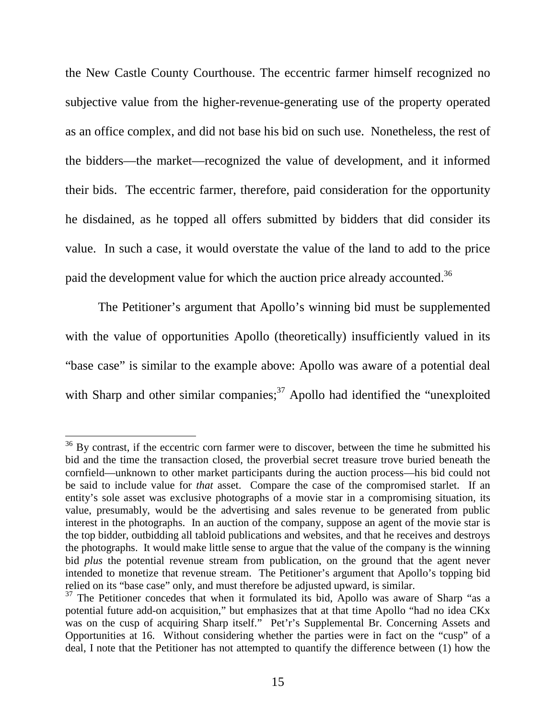the New Castle County Courthouse. The eccentric farmer himself recognized no subjective value from the higher-revenue-generating use of the property operated as an office complex, and did not base his bid on such use. Nonetheless, the rest of the bidders—the market—recognized the value of development, and it informed their bids. The eccentric farmer, therefore, paid consideration for the opportunity he disdained, as he topped all offers submitted by bidders that did consider its value. In such a case, it would overstate the value of the land to add to the price paid the development value for which the auction price already accounted.<sup>36</sup>

The Petitioner's argument that Apollo's winning bid must be supplemented with the value of opportunities Apollo (theoretically) insufficiently valued in its "base case" is similar to the example above: Apollo was aware of a potential deal with Sharp and other similar companies;  $37$  Apollo had identified the "unexploited"

 $36$  By contrast, if the eccentric corn farmer were to discover, between the time he submitted his bid and the time the transaction closed, the proverbial secret treasure trove buried beneath the cornfield—unknown to other market participants during the auction process—his bid could not be said to include value for *that* asset. Compare the case of the compromised starlet. If an entity's sole asset was exclusive photographs of a movie star in a compromising situation, its value, presumably, would be the advertising and sales revenue to be generated from public interest in the photographs. In an auction of the company, suppose an agent of the movie star is the top bidder, outbidding all tabloid publications and websites, and that he receives and destroys the photographs. It would make little sense to argue that the value of the company is the winning bid *plus* the potential revenue stream from publication, on the ground that the agent never intended to monetize that revenue stream. The Petitioner's argument that Apollo's topping bid relied on its "base case" only, and must therefore be adjusted upward, is similar.

<sup>&</sup>lt;sup>37</sup> The Petitioner concedes that when it formulated its bid, Apollo was aware of Sharp "as a potential future add-on acquisition," but emphasizes that at that time Apollo "had no idea CKx was on the cusp of acquiring Sharp itself." Pet'r's Supplemental Br. Concerning Assets and Opportunities at 16. Without considering whether the parties were in fact on the "cusp" of a deal, I note that the Petitioner has not attempted to quantify the difference between (1) how the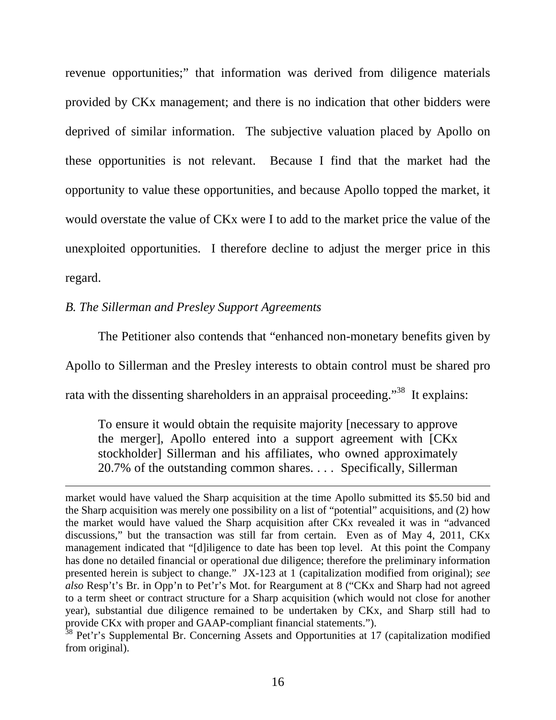revenue opportunities;" that information was derived from diligence materials provided by CKx management; and there is no indication that other bidders were deprived of similar information. The subjective valuation placed by Apollo on these opportunities is not relevant. Because I find that the market had the opportunity to value these opportunities, and because Apollo topped the market, it would overstate the value of CKx were I to add to the market price the value of the unexploited opportunities. I therefore decline to adjust the merger price in this regard.

## *B. The Sillerman and Presley Support Agreements*

<u>.</u>

The Petitioner also contends that "enhanced non-monetary benefits given by Apollo to Sillerman and the Presley interests to obtain control must be shared pro rata with the dissenting shareholders in an appraisal proceeding."<sup>38</sup> It explains:

To ensure it would obtain the requisite majority [necessary to approve the merger], Apollo entered into a support agreement with [CKx stockholder] Sillerman and his affiliates, who owned approximately 20.7% of the outstanding common shares. . . . Specifically, Sillerman

market would have valued the Sharp acquisition at the time Apollo submitted its \$5.50 bid and the Sharp acquisition was merely one possibility on a list of "potential" acquisitions, and (2) how the market would have valued the Sharp acquisition after CKx revealed it was in "advanced discussions," but the transaction was still far from certain. Even as of May 4, 2011, CKx management indicated that "[d]iligence to date has been top level. At this point the Company has done no detailed financial or operational due diligence; therefore the preliminary information presented herein is subject to change." JX-123 at 1 (capitalization modified from original); *see also* Resp't's Br. in Opp'n to Pet'r's Mot. for Reargument at 8 ("CKx and Sharp had not agreed to a term sheet or contract structure for a Sharp acquisition (which would not close for another year), substantial due diligence remained to be undertaken by CKx, and Sharp still had to provide CKx with proper and GAAP-compliant financial statements.").

<sup>&</sup>lt;sup>38</sup> Pet'r's Supplemental Br. Concerning Assets and Opportunities at 17 (capitalization modified from original).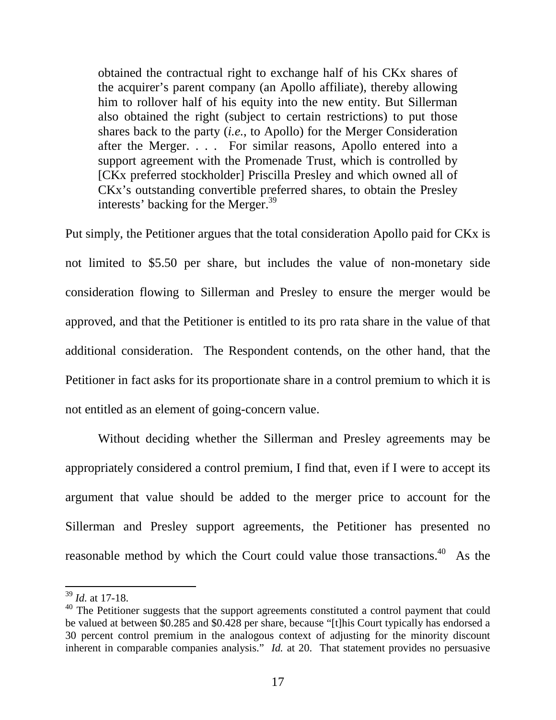obtained the contractual right to exchange half of his CKx shares of the acquirer's parent company (an Apollo affiliate), thereby allowing him to rollover half of his equity into the new entity. But Sillerman also obtained the right (subject to certain restrictions) to put those shares back to the party (*i.e.*, to Apollo) for the Merger Consideration after the Merger. . . . For similar reasons, Apollo entered into a support agreement with the Promenade Trust, which is controlled by [CKx preferred stockholder] Priscilla Presley and which owned all of CKx's outstanding convertible preferred shares, to obtain the Presley interests' backing for the Merger.<sup>39</sup>

Put simply, the Petitioner argues that the total consideration Apollo paid for CKx is not limited to \$5.50 per share, but includes the value of non-monetary side consideration flowing to Sillerman and Presley to ensure the merger would be approved, and that the Petitioner is entitled to its pro rata share in the value of that additional consideration. The Respondent contends, on the other hand, that the Petitioner in fact asks for its proportionate share in a control premium to which it is not entitled as an element of going-concern value.

 Without deciding whether the Sillerman and Presley agreements may be appropriately considered a control premium, I find that, even if I were to accept its argument that value should be added to the merger price to account for the Sillerman and Presley support agreements, the Petitioner has presented no reasonable method by which the Court could value those transactions.<sup>40</sup> As the

-

<sup>39</sup> *Id.* at 17-18.

<sup>&</sup>lt;sup>40</sup> The Petitioner suggests that the support agreements constituted a control payment that could be valued at between \$0.285 and \$0.428 per share, because "[t]his Court typically has endorsed a 30 percent control premium in the analogous context of adjusting for the minority discount inherent in comparable companies analysis." *Id.* at 20. That statement provides no persuasive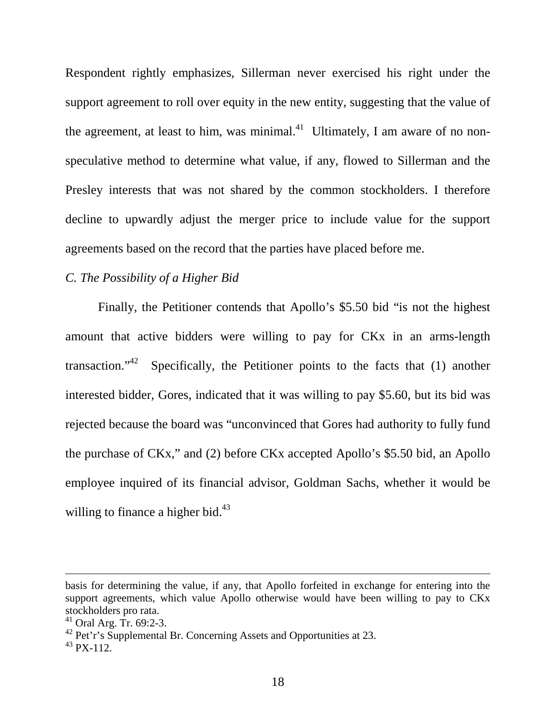Respondent rightly emphasizes, Sillerman never exercised his right under the support agreement to roll over equity in the new entity, suggesting that the value of the agreement, at least to him, was minimal.<sup>41</sup> Ultimately, I am aware of no nonspeculative method to determine what value, if any, flowed to Sillerman and the Presley interests that was not shared by the common stockholders. I therefore decline to upwardly adjust the merger price to include value for the support agreements based on the record that the parties have placed before me.

## *C. The Possibility of a Higher Bid*

 Finally, the Petitioner contends that Apollo's \$5.50 bid "is not the highest amount that active bidders were willing to pay for CKx in an arms-length transaction."<sup>42</sup> Specifically, the Petitioner points to the facts that  $(1)$  another interested bidder, Gores, indicated that it was willing to pay \$5.60, but its bid was rejected because the board was "unconvinced that Gores had authority to fully fund the purchase of CKx," and (2) before CKx accepted Apollo's \$5.50 bid, an Apollo employee inquired of its financial advisor, Goldman Sachs, whether it would be willing to finance a higher bid. $43$ 

basis for determining the value, if any, that Apollo forfeited in exchange for entering into the support agreements, which value Apollo otherwise would have been willing to pay to CKx stockholders pro rata.

<sup>41</sup> Oral Arg. Tr. 69:2-3.

 $42$  Pet'r's Supplemental Br. Concerning Assets and Opportunities at 23.

 $^{43}$  PX-112.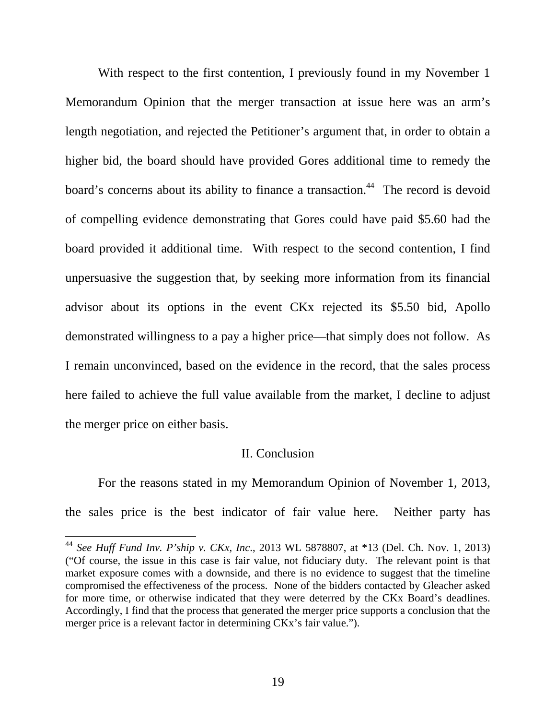With respect to the first contention, I previously found in my November 1 Memorandum Opinion that the merger transaction at issue here was an arm's length negotiation, and rejected the Petitioner's argument that, in order to obtain a higher bid, the board should have provided Gores additional time to remedy the board's concerns about its ability to finance a transaction.<sup>44</sup> The record is devoid of compelling evidence demonstrating that Gores could have paid \$5.60 had the board provided it additional time. With respect to the second contention, I find unpersuasive the suggestion that, by seeking more information from its financial advisor about its options in the event CKx rejected its \$5.50 bid, Apollo demonstrated willingness to a pay a higher price—that simply does not follow. As I remain unconvinced, based on the evidence in the record, that the sales process here failed to achieve the full value available from the market, I decline to adjust the merger price on either basis.

#### II. Conclusion

 For the reasons stated in my Memorandum Opinion of November 1, 2013, the sales price is the best indicator of fair value here. Neither party has

<sup>44</sup> *See Huff Fund Inv. P'ship v. CKx, Inc*., 2013 WL 5878807, at \*13 (Del. Ch. Nov. 1, 2013) ("Of course, the issue in this case is fair value, not fiduciary duty. The relevant point is that market exposure comes with a downside, and there is no evidence to suggest that the timeline compromised the effectiveness of the process. None of the bidders contacted by Gleacher asked for more time, or otherwise indicated that they were deterred by the CKx Board's deadlines. Accordingly, I find that the process that generated the merger price supports a conclusion that the merger price is a relevant factor in determining CKx's fair value.").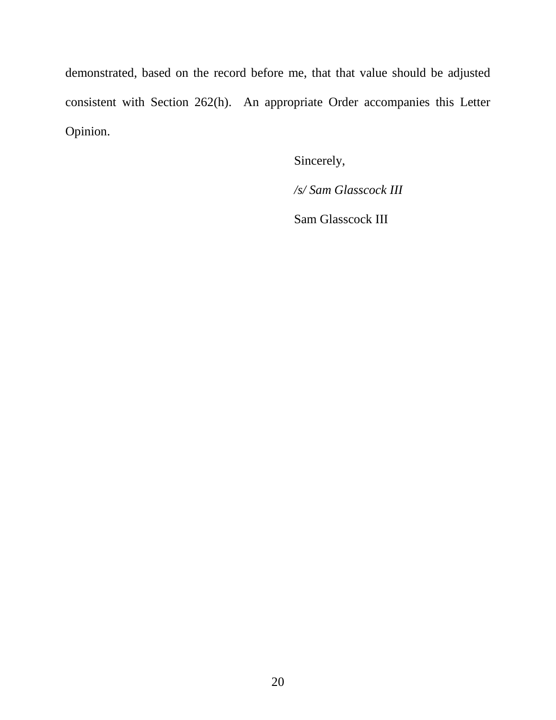demonstrated, based on the record before me, that that value should be adjusted consistent with Section 262(h). An appropriate Order accompanies this Letter Opinion.

Sincerely,

*/s/ Sam Glasscock III* 

Sam Glasscock III